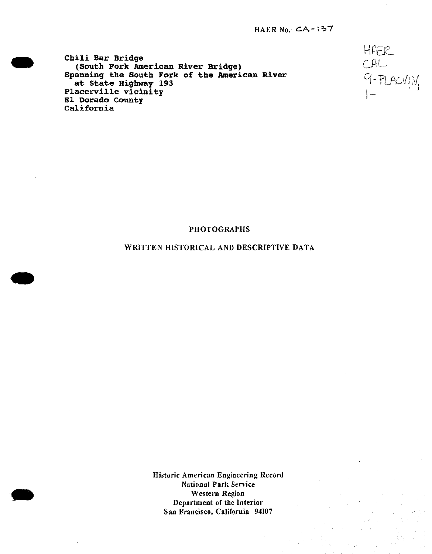HfiBl **Chili Bar Bridge .. (South Fork American River Bridge) U Spanning the South Fork of the American River** *Q* **-p. <sup>r</sup> ... ,** at State Highway 193 **Placerville vicinity <sup>j</sup> \_ El Dorado County California**

CAL<br>CAL<br>9-PLACVI<sub>N</sub><br>1-

#### PHOTOGRAPHS

# WRITTEN HISTORICAL AND DESCRIPTIVE DATA

Historic American Engineering Record National Park Service Western Region Department of the Interior San Francisco, California 94107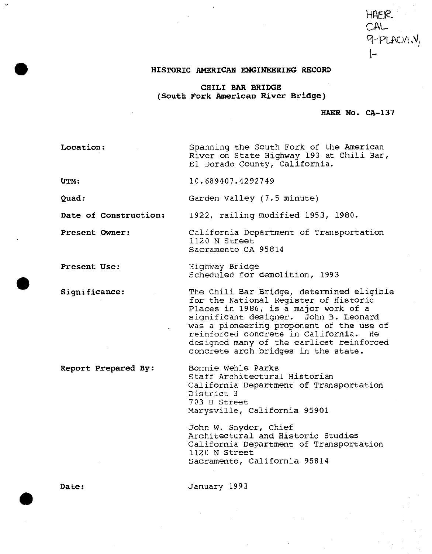# HAER CAL 9-PLACVI.

#### **HISTORIC AMERICAN ENGINEERING RECORD**

**CHILI BAR BRIDGE (South Fork American River Bridge)**

**HAER No. CA-137**

**Location: UTM: Quad: Date of Construction** Spanning the South Fork of the American River on State Highway 193 at Chili Bar, El Dorado County, California. 10.689407.4292749 Garden Valley (7.5 minute) 1922, railing modified 1953, 1980.

**Present Owner:** California Department of Transportation 1120 N Street Sacramento CA 95814

**Present Use:** Highway Bridge Scheduled for demolition, 1993

> The Chili Bar Bridge, determined eligible for the National Register of Historic Places in 1986, is a major work of a significant designer. John B. Leonard was a pioneering proponent of the use of reinforced concrete in California. He designed many of the earliest reinforced concrete arch bridges in the state.

Bonnie Wehle Parks Staff Architectural Historian California Department of Transportation District <sup>3</sup> 7 03 B Street Marysville, California 95901

John W. Snyder, Chief Architectural and Historic Studies California Department of Transportation 1120 N Street Sacramento, California 95814

**Date:** January 1993

**Significance:**

**Report Prepared By:**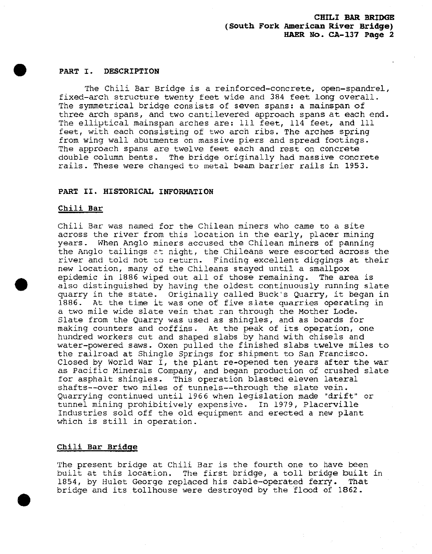#### **PART I. DESCRIPTION**

The Chili Bar Bridge is a reinforced-concrete, open-spandrel, fixed-arch structure twenty feet wide and 384 feet long overall. The symmetrical bridge consists of seven spans: a mainspan of three arch spans, and two cantilevered approach spans at each end. The elliptical mainspan arches are: 111 feet, 114 feet, and 111 feet, with each consisting of two arch ribs. The arches spring from wing wall abutments on massive piers and spread footings. The approach spans are twelve feet each and rest on concrete double column bents. The bridge originally had massive concrete rails. These were changed to metal beam barrier rails in 1953.

#### **PART II. HISTORICAL INFORMATION**

#### **Chili Bar**

Chili Bar was named for the Chilean miners who came to a site across the river from this location in the early, placer mining years. When Anglo miners accused the Chilean miners of panning the Anglo tailings at night, the Chileans were escorted across the river and told not *z.o* return. Finding excellent diggings at their new location, many of the Chileans stayed until a smallpox epidemic in 1886 wiped out all of those remaining. The area is also distinguished by having the oldest continuously running slate quarry in the state. Originally called Buck's Quarry, it began in 1886. At the time it was one of five slate quarries operating in a two mile wide slate vein that ran through the Mother Lode. Slate from the Quarry was used as shingles, and as boards for making counters and coffins. At the peak of its operation, one hundred workers cut and shaped slabs by hand with chisels and water-powered saws. Oxen pulled the finished slabs twelve miles to the railroad at Shingle Springs for shipment to San Francisco. Closed by World War I, the plant re-opened ten years after the war as Pacific Minerals Company, and began production of crushed slate for asphalt shingles. This operation blasted eleven lateral shafts--over two miles of tunnels--through the slate vein. Quarrying continued until 1966 when legislation made "drift" or tunnel mining prohibitively expensive. In 1979, Placerville Industries sold off the old equipment and erected a new plant which is still in operation.

#### **Chili Bar Bridge**

The present bridge at Chili Bar is the fourth one to have been built at this location. The first bridge, a toll bridge built in 1854, by Hulet George replaced his cable-operated ferry. That bridge and its tollhouse were destroyed by the flood of 1862.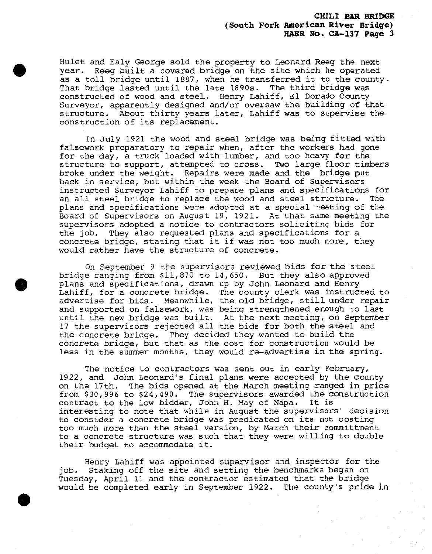Hulet and Ealy George sold the property to Leonard Reeg the next year. Reeg built a covered bridge on the site which he operated as a toll bridge until 1887, when he transferred it to the county. That bridge lasted until the late 1890s. The third bridge was constructed of wood and steel. Henry Lahiff, El Dorado County Surveyor, apparently designed and/or oversaw the building of that structure. About thirty years later, Lahiff was to supervise the construction of its replacement.

In July 1921 the wood and steel bridge was being fitted with falsework preparatory to repair when, after the workers had gone for the day, a truck loaded with-lumber, and too heavy for the structure to support, attempted to cross. Two large floor timbers broke under the weight. Repairs were made and the bridge put back in service, but within the week the Board of Supervisors instructed Surveyor Lahiff to prepare plans and specifications for an all steel bridge to replace the wood and steel structure. The plans and specifications were adopted at a special meeting of the Board of Supervisors on August 19, 1921. At that same meeting the supervisors adopted a notice to contractors soliciting bids for the job. They also requested plans and specifications for a concrete bridge, stating that it if was not too much more, they would rather have the structure of concrete.

On September <sup>9</sup> the supervisors reviewed bids for the steel bridge ranging from \$11,870 to 14,650. But they also approved plans and specifications, drawn up by John Leonard and Henry Lahiff, for a concrete bridge. The county clerk was instructed to advertise for bids. Meanwhile, the old bridge, still under repair and supported on falsework, was being strengthened enough to last until the new bridge was built. At the next meeting, on September 17 the supervisors rejected all the bids for both the steel and the concrete bridge. They decided they wanted to build the concrete bridge, but that as the cost for construction would be less in the summer months, they would re-advertise in the spring.

The notice to contractors was sent out in early February, 1922, and John Leonard's final plans were accepted by the county on the 17th. The bids opened at the March meeting ranged in price from \$30,996 to \$24,490. The supervisors awarded the construction contract to the low bidder, John H. May of Napa. It is interesting to note that while in August the supervisors' decision to consider a concrete bridge was predicated on its not costing too much more than the steel version, by March their committment to a concrete structure was such that they were willing to double their budget to accommodate it.

Henry Lahiff was appointed supervisor and inspector for the job. Staking off the site and setting the benchmarks began on Tuesday, April 11 and the contractor estimated that the bridge would be completed early in September 1922. The county's pride in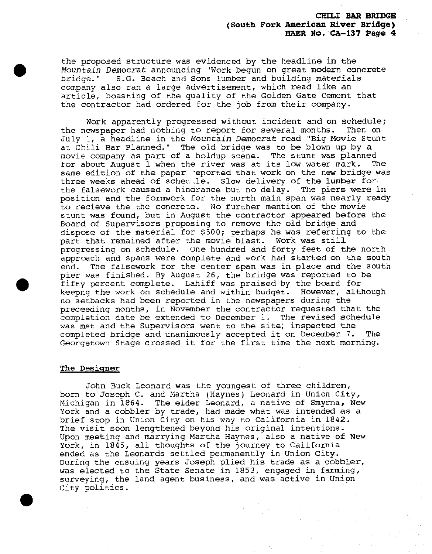the proposed structure was evidenced by the headline in the *Mountain Democrat* announcing "Work begun on great modern concrete S.G. Beach and Sons lumber and building materials company also ran a large advertisement, which read like an article, boasting of the quality of the Golden Gate Cement that the contractor had ordered for the job from their company.

Work apparently progressed without incident and on schedule; the newspaper had nothing to report for several months. Then on July l, a headline in the Mountain *Democrat* read "Big Movie Stunt at Chili Bar Planned." The old bridge was to be blown up by a movie company as part of a holdup scene. The stunt was planned for about August <sup>1</sup> when the river was at its low water mark. The same edition of the paper reported that work on the new bridge was three weeks ahead of schecile. Slow delivery of the lumber for the falsework caused a hindrance but no delay. The piers were in position and the formwork for the north main span was nearly ready to recieve the the concrete. No further mention of the movie stunt was found, but in August the contractor appeared before the Board of Supervisors proposing to remove the old bridge and dispose of the material for \$500; perhaps he was referring to the part that remained after the movie blast. Work was still progressing on schedule. One hundred and forty feet of the north approach and spans were complete and work had started on the south end. The falsework for the center span was in place and the south pier was finished. By August 26, the bridge was reported to be fifty percent complete. Lahiff was praised by the board for keepng the work on schedule and within budget. However, although no setbacks had been reported in the newspapers during the preceeding months, in November the contractor requested that the completion date be extended to December 1. The revised schedule was met and the Supervisors went to the site; inspected the completed bridge and unanimously accepted it on December 7. The Georgetown Stage crossed it for the first time the next morning.

#### The Designer

John Buck Leonard was the youngest of three children, born to Joseph C. and Martha (Haynes) Leonard in Union City, Michigan in 1864. The elder Leonard, a native of Smyrna, New York and a cobbler by trade, had made what was intended as a brief stop in Union City on his way to California in 1842. The visit soon lengthened beyond his original intentions. Upon meeting and marrying Martha Haynes, also a native of New York, in 1845, all thoughts of the journey to California ended as the Leonards settled permanently in Union City. During the ensuing years Joseph plied his trade as a cobbler, was elected to the State Senate in 1853, engaged in farming, surveying, the land agent business, and was active in Union City politics.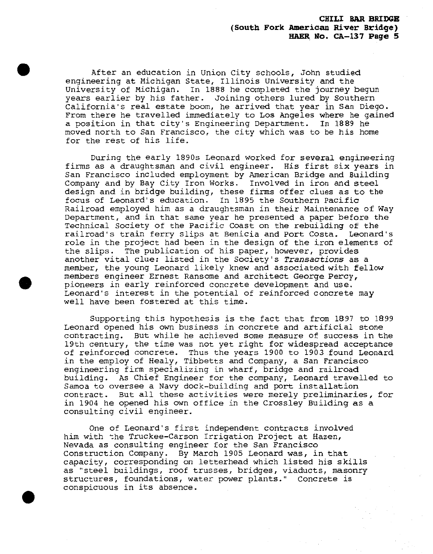After an education in Union City schools, John studied engineering at Michigan State, Illinois University and the<br>University of Michigan. In 1888 he completed the journey b In 1888 he completed the journey begun years earlier by his father. Joining others lured by Southern California's real estate boom, he arrived that year in San Diego. From there he travelled immediately to Los Angeles where he gained a position in that city's Engineering Department. In 1889 he moved north to San Francisco, the city which was to be his home for the rest of his life.

During the early 1890s Leonard worked for several engineering firms as a draughtsman and civil engineer. His first six years in San Francisco included employment by American Bridge and Building Company and by Bay City Iron Works. Involved in iron and steel design and in bridge building, these firms offer clues as to the focus of Leonard's education. In 1895 the Southern Pacific Railroad employed him as a draughtsman in their Maintenance of Way Department, and in that same year he presented a paper before the Technical Society of the Pacific Coast on the rebuilding of the railroad's train ferry slips at Benicia and Port Costa. Leonard's role in the project had been in the design of the iron elements of the slips. The publication of his paper, however, provides another vital clue: listed in the Society's *Transactions* as <sup>a</sup> member, the young Leonard likely knew and associated with fellow members engineer Ernest Ransome and architect George Percy, pioneers in early reinforced concrete development and use. Leonard's interest in the potential of reinforced concrete may well have been fostered at this time.

Supporting this hypothesis is the fact that from 1897 to 1899 Leonard opened his own business in concrete and artificial stone contracting. But while he achieved some measure of success in the 19th century, the time was not yet right for widespread acceptance of reinforced concrete. Thus the years 1900 to 1903 found Leonard in the employ of Healy, Tibbetts and Company, a San Francisco engineering firm specializing in wharf, bridge and railroad building. As Chief Engineer for the company, Leonard travelled to Samoa to oversee a Navy dock-building and port installation contract. But all these activities were merely preliminaries, for in 1904 he opened his own office in the Crossley Building as a consulting civil engineer.

One of Leonard's first independent contracts involved him with the Truckee-Carson Irrigation Project at Hazen, Nevada as consulting engineer for the San Francisco Construction Company. By March 1905 Leonard was, in that capacity, corresponding on letterhead which listed his skills as "steel buildings, roof trusses, bridges, viaducts, masonry structures, foundations, water power plants." Concrete is conspicuous in its absence.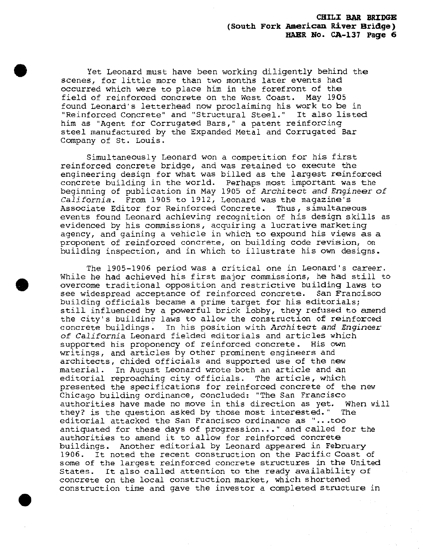Yet Leonard must have been working diligently behind the scenes, for little more than two months later events had occurred which were to place him in the forefront of the field of reinforced concrete on the West Coast. May 1905 found Leonard's letterhead now proclaiming his work to be in "Reinforced Concrete" and "Structural Steel." It also listed him as "Agent for Corrugated Bars," a patent reinforcing steel manufactured by the Expanded Metal and Corrugated Bar Company of St. Louis.

Simultaneously Leonard won a competition for his first reinforced concrete bridge, and was retained to execute the engineering design for what was billed as the largest reinforced concrete building in the world. Perhaps most important was the beginning of publication in May <sup>1905</sup> of Architect *and Engineer of* From 1905 to 1912, Leonard was the magazine's Associate Editor for Reinforced Concrete. Thus, simultaneous events found Leonard achieving recognition of his design skills as evidenced by his commissions, acquiring a lucrative marketing agency, and gaining a vehicle in which to expound his views as a proponent of reinforced concrete, on building code revision, on building inspection, and in which to illustrate his own designs.

The 1905-1906 period was a critical one in Leonard's career. While he had achieved his first major commissions, he had still to overcome traditional opposition and restrictive building laws to see widespread acceptance of reinforced concrete. San Francisco building officials became a prime target for his editorials; still influenced by a powerful brick lobby, they refused to amend the city's building laws to allow the construction of reinforced concrete buildings. In his position with *Architect and Engineer: of California* Leonard fielded editorials and articles which supported his proponency of reinforced concrete. His own writings, and articles by other prominent engineers and architects, chided officials and supported use of the new material. In August Leonard wrote both an article and an editorial reproaching city officials. The article, which presented the specifications for reinforced concrete of the new Chicago building ordinance, concluded: "The San Francisco authorities have made no move in this direction as yet. When will they? is the question asked by those most interested." The editorial attacked the San Francisco ordinance as "...too antiquated for these days of progression..." and called for the authorities to amend it to allow for reinforced concrete buildings. Another editorial by Leonard appeared in February 1906. It noted the recent construction on the Pacific Coast of some of the largest reinforced concrete structures in the United States. It also called attention to the ready availability of concrete on the local construction market, which shortened construction time and gave the investor a completed structure in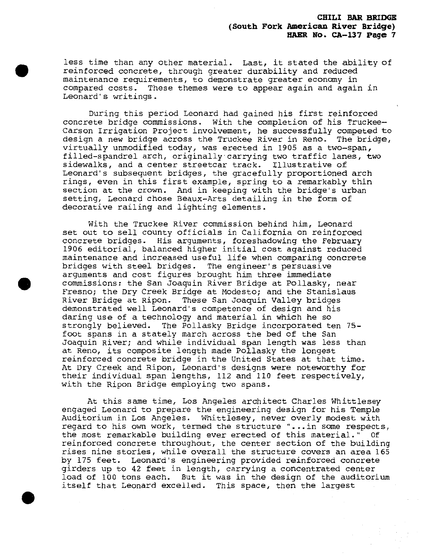less time than any other material. Last, it stated the ability of reinforced concrete, through greater durability and reduced maintenance requirements, to demonstrate greater economy in compared costs. These themes were to appear again and again in Leonard's writings.

During this period Leonard had gained his first reinforced concrete bridge commissions. With the completion of his Truckee— Carson Irrigation Project involvement, he successfully competed to design a new bridge across the Truckee River in Reno. The bridge, virtually unmodified today, was erected in 1905 as a two-span, filled-spandrel arch, originally carrying two traffic lanes, two sidewalks, and a center streetcar track. Illustrative of Leonard's subsequent bridges, the gracefully proportioned arch rings, even in this first example, spring to a remarkably thin section at the crown. And in keeping with the bridge's urban setting, Leonard chose Beaux-Arts detailing in the form of decorative railing and lighting elements.

With the Truckee River commission behind him, Leonard set out to sell county officials in California on reinforced concrete bridges. His arguments, foreshadowing the February 1906 editorial, balanced higher initial cost against reduced maintenance and increased useful life when comparing concrete bridges with steel bridges. The engineer's persuasive arguments and cost figures brought him three immediate commissions: the San Joaquin River Bridge at Pollasky, near Fresno; the Dry Creek Bridge at Modesto; and the Stanislaus River Bridge at Ripon. These San Joaquin Valley bridges demonstrated well Leonard's competence of design and his daring use of a technology and material in which he so strongly believed. The Pollasky Bridge incorporated ten 75 foot spans in a stately march across the bed of the San Joaquin River; and while individual span length was less than at Reno, its composite length made Pollasky the longest reinforced concrete bridge in the United States at that time. At Dry Creek and Ripon, Leonard's designs were noteworthy for their individual span lengths, 112 and 110 feet respectively, with the Ripon Bridge employing two spans.

At this same time, Los Angeles architect Charles Whittlesey engaged Leonard to prepare the engineering design for his Temple Auditorium in Los Angeles. Whittlesey, never overly modest with regard to his own work, termed the structure "...in some respects, the most remarkable building ever erected of this material." Of reinforced concrete throughout, the center section of the building rises nine stories, while overall the structure covers an area 165 by 175 feet. Leonard's engineering provided reinforced concrete girders up to 42 feet in length, carrying a concentrated center load of 100 tons each. But it was in the design of the auditorium itself that Leonard excelled. This space, then the largest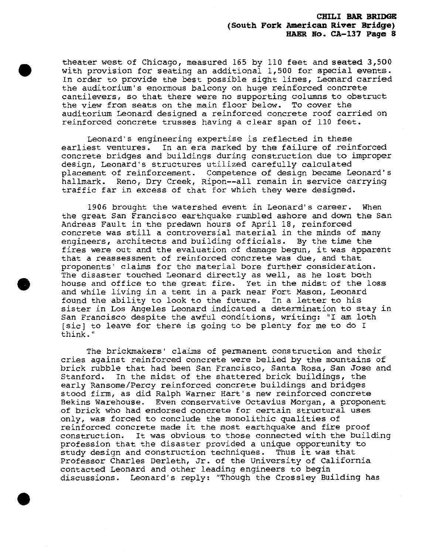theater west of Chicago, measured 165 by 110 feet and seated 3,500 with provision for seating an additional 1,500 for special events. In order to provide the best possible sight lines, Leonard carried the auditorium's enormous balcony on huge reinforced concrete cantilevers, so that there were no supporting columns to obstruct the view from seats on the main floor below. To cover the auditorium Leonard designed a reinforced concrete roof carried on reinforced concrete trusses having a clear span of 110 feet.

Leonard's engineering expertise is reflected in these earliest ventures. In an era marked by the failure of reinforced concrete bridges and buildings during construction due to improper design, Leonard's structures utilized carefully calculated placement of reinforcement. Competence of design became Leonard's hallmark. Reno, Dry Creek, Ripon--all remain in service carrying traffic far in excess of that for which they were designed.

1906 brought the watershed event in Leonard's career. When the great San Francisco earthquake rumbled ashore and down the San Andreas Fault in the predawn hours of April 18, reinforced concrete was still a controversial material in the minds of many engineers, architects and building officials. By the time the fires were out and the evaluation of damage begun, it was apparent that a reassessment of reinforced concrete was due, and that proponents' claims for the material bore further consideration. The disaster touched Leonard directly as well, as he lost both house and office to the great fire. Yet in the midst of the loss and while living in a tent in a park near Fort Mason, Leonard found the ability to look to the future. In a letter to his sister in Los Angeles Leonard indicated a determination to stay in San Francisco despite the awful conditions, writing: "I am loth [sic] to leave for there is going to be plenty for me to do <sup>I</sup> think."

The brickmakers' claims of permanent construction and their cries against reinforced concrete were belied by the mountains of brick rubble that had been San Francisco, Santa Rosa, San Jose and Stanford. In the midst of the shattered brick buildings, the early Ransome/Percy reinforced concrete buildings and bridges stood firm, as did Ralph Warner Hart's new reinforced concrete Bekins Warehouse. Even conservative Octavius Morgan, a proponent of brick who had endorsed concrete for certain structural uses only, was forced to conclude the monolithic qualities of reinforced concrete made it the most earthquake and fire proof construction. It was obvious to those connected with the building profession that the disaster provided a unique opportunity to study design and construction techniques. Thus it was that Professor Charles Derleth, Jr. of the University of California contacted Leonard and other leading engineers to begin discussions. Leonard's reply: "Though the Crossley Building has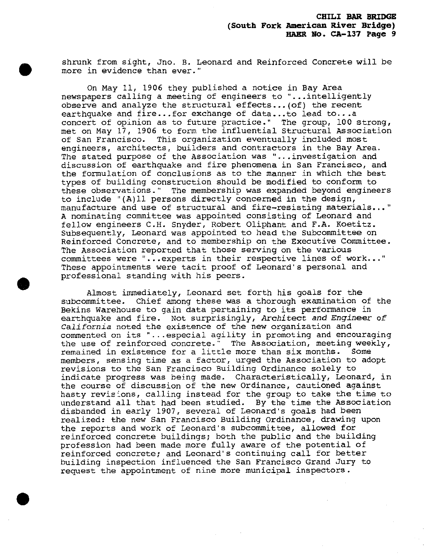shrunk from sight, Jno. B. Leonard and Reinforced Concrete will be more in evidence than ever."

On May 11, 1906 they published a notice in Bay Area newspapers calling a meeting of engineers to "...intelligently observe and analyze the structural effects... (of) the recent earthquake and fire...for exchange of data...to lead to...a concert of opinion as to future practice." The group, 100 strong, met on May 17, 1906 to form the influential Structural Association of San Francisco. This organization eventually included most engineers, architects, builders and contractors in the Bay Area. The stated purpose of the Association was "...investigation and discussion of earthquake and fire phenomena in San Francisco, and the formulation of conclusions as to the manner in which the best types of building construction should be modified to conform to these observations." The membership was expanded beyond engineers to include "(A)ll persons directly concerned in the design, manufacture and use of structural and fire-resisting materials..." A nominating committee was appointed consisting of Leonard and fellow engineers C.H. Snyder, Robert Oliphant and F.A. Koetitz. Subsequently, Leonard was appointed to head the Subcommittee on Reinforced Concrete, and to membership on the Executive Committee. The Association reported that those serving on the various committees were "...experts in their respective lines of work..." These appointments were tacit proof of Leonard's personal and professional standing with his peers.

Almost immediately, Leonard set forth his goals for the subcommittee. Chief among these was a thorough examination of the Bekins Warehouse to gain data pertaining to its performance in earthquake and fire. Not surprisingly, *Architect and Engineer of California,* noted the existence of the new organization and commented on its " . . .especial agility in promoting and encouraging the use of reinforced concrete. " The Association, meeting weekly, remained in existence for a little more than six months. Some members, sensing time as a factor, urged the Association to adopt revisions to the San Francisco Building Ordinance solely to indicate progress was being made. Characteristically, Leonard, in the course of discussion of the new Ordinance, cautioned against hasty revisions, calling instead for the group to take the time to understand all that had been studied. By the time the Association disbanded in early 1907, several of Leonard's goals had been realized: the new San Francisco Building Ordinance, drawing upon the reports and work of Leonard's subcommittee, allowed for reinforced concrete buildings; both the public and the building profession had been made more fully aware of the potential of reinforced concrete; and Leonard's continuing call for better building inspection influenced the San Francisco Grand Jury to request the appointment of nine more municipal inspectors.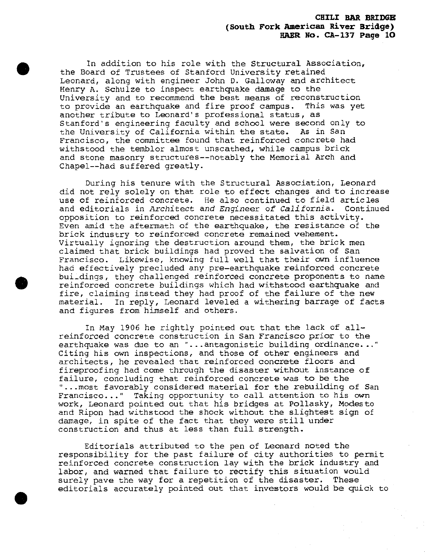In addition to his role with the Structural Association, the Board of Trustees of Stanford University retained Leonard, along with engineer John D. Galloway and architect Henry A. Schulze to inspect earthquake damage to the University and to recommend the best means of reconstruction to provide an earthquake and fire proof campus. This was yet another tribute to Leonard's professional status, as Stanford's engineering faculty and school were second only to the University of California within the state. As in San Francisco, the committee found that reinforced concrete had withstood the temblor almost unscathed, while campus brick and stone masonry structures—notably the Memorial Arch and Chapel—had suffered greatly.

During his tenure with the Structural Association, Leonard did not rely solely on that role to effect changes and to increase use of reinforced concrete. He also continued to field articles and editorials in *Architect and Engineer of California.* Continued opposition to reinforced concrete necessitated this activity. Even amid the aftermath of the earthquake, the resistance of the brick industry to reinforced concrete remained vehement. Virtually ignoring the destruction around them, the brick men claimed that brick buildings had proved the salvation of San Francisco. Likewise, knowing full well that their own influence had effectively precluded any pre-earthquake reinforced concrete buildings, they challenged reinforced concrete proponents to name reinforced concrete buildings which had withstood earthquake and fire, claiming instead they had proof of the failure of the new material. In reply, Leonard leveled a withering barrage of facts and figures from himself and others.

In May 1906 he rightly pointed out that the lack of allreinforced concrete construction in San Francisco prior to the earthquake was due to an "...antagonistic building ordinance..." Citing his own inspections, and those of other engineers and architects, he revealed that reinforced concrete floors and fireproofing had come through the disaster without instance of failure, concluding that reinforced concrete was to be the "...most favorably considered material for the rebuilding of San Francisco..." Taking opportunity to call attention to his own work, Leonard pointed out that his bridges at Pollasky, Modesto and Ripon had withstood the shock without the slightest sign of damage, in spite of the fact that they were still under construction and thus at less than full strength.

Editorials attributed to the pen of Leonard noted the responsibility for the past failure of city authorities to permit reinforced concrete construction lay with the brick industry and labor, and warned that failure to rectify this situation would surely pave the way for a repetition of the disaster. These editorials accurately pointed out that investors would be quick to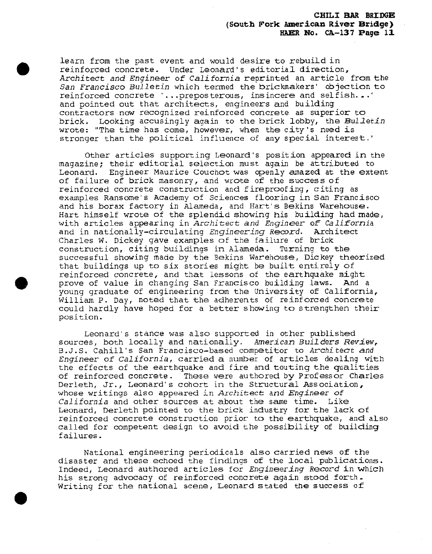learn from the past event and would desire to rebuild in reinforced concrete. Under Leonard's editorial direction, Architect *and Engineer of California* reprinted an article from the *San Francisco Bulletin* which termed the brickmakers' objection to reinforced concrete "...preposterous, insincere and selfish..." and pointed out that architects, engineers and building contractors now recognized reinforced concrete as superior to brick. Looking accusingly again to the brick lobby, the *Bulletin* wrote: "The time has come, however, when the city's need is stronger than the political influence of any special interest."

Other articles supporting Leonard's position appeared in the magazine; their editorial selection must again be attributed to Leonard. Engineer Maurice Couchot was openly amazed at the extent of failure of brick masonry, and wrote of the success of reinforced concrete construction and fireproofing, citing as examples Ransome's Academy of Sciences flooring in San Francisco and his borax factory in Alameda, and Hart's Bekins Warehouse. Hart himself wrote of the splendid showing his building had made, with articles appearing in *Architect and Engineer of~ California* and in nationally-circulating *Engineering Record.* Architect Charles W. Dickey gave examples of the failure of brick construction, citing buildings in Alameda. Turning to the successful showing made by the Bekins Warehouse, Dickey theorized that buildings up to six stories might be built entirely of reinforced concrete, and that lessons of the earthquake might prove of value in changing San Francisco building laws. And a young graduate of engineering from the University of California, William P. Day, noted that the adherents of reinforced concrete could hardly have hoped for <sup>a</sup> better showing to strengthen their position.

Leonard's stance was also supported in other published sources, both locally and nationally. American *Builders Review,* B.J.S. Cahill's San Francisco-based competitor to *Architect and Engineer of California,* carried a number of articles dealing with the effects of the earthquake and fire and touting the qualities of reinforced concrete. These were authored by Professor Charles Derleth, Jr., Leonard's cohort in the Structural Association, whose writings also appeared in *Architect and Engineer of California* and other sources at about the same time. Like Leonard, Derleth pointed to the brick industry for the lack of reinforced concrete construction prior to the earthquake, and also called for competent design to avoid the possibility of building failures.

National engineering periodicals also carried news of the disaster and these echoed the findings of the local publications. Indeed, Leonard authored articles for Engineering Record in which his strong advocacy of reinforced concrete again stood forth. Writing for the national scene, Leonard stated the success of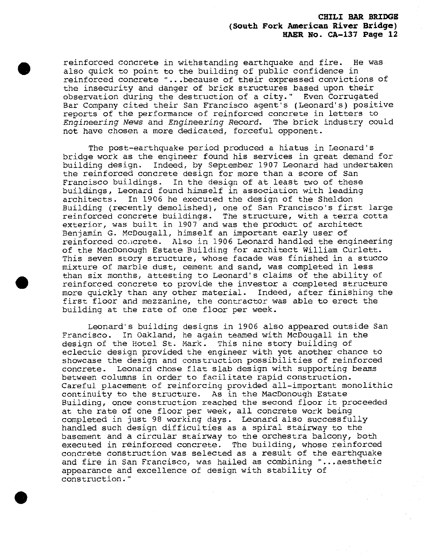reinforced concrete in withstanding earthquake and fire. He was also quick to point to the building of public confidence in reinforced concrete "...because of their expressed convictions of the insecurity and danger of brick structures based upon their observation during the destruction of a city." Even Corrugated Bar Company cited their San Francisco agent's (Leonard's) positive reports of the performance of reinforced concrete in letters to *Engineering News* and *Engineering Record,* The brick industry could not have chosen a more dedicated, forceful opponent.

The post-earthquake period produced a hiatus in Leonard's bridge work as the engineer found his services in great demand for building design. Indeed, by September 1907 Leonard had undertaken the reinforced concrete design for more than a score of San Francisco buildings. In the design of at least two of these buildings, Leonard found himself in association with leading architects. In 1906 he executed the design of the Sheldon Building (recently demolished), one of San Francisco's first large reinforced concrete buildings. The structure, with a terra cotta exterior, was built in 1907 and was the product of architect Benjamin G. McDougall, himself an important early user of reinforced concrete. Also in 1906 Leonard handled the engineering of the MacDonough Estate Building for architect William Curlett. This seven story structure, whose facade was finished in a stucco mixture of marble dust, cement and sand, was completed in less than six months, attesting to Leonard's claims of the ability of reinforced concrete to provide the investor a completed structure more quickly than any other material. Indeed, after finishing the first floor and mezzanine, the contractor was able to erect the building at the rate of one floor per week.

Leonard's building designs in 1906 also appeared outside San Francisco. In Oakland, he again teamed with McDougall in the design of the Hotel St. Mark. This nine story building of eclectic design provided the engineer with yet another chance to showcase the design and construction possibilities of reinforced concrete. Leonard chose flat slab design with supporting beams between columns in order to facilitate rapid construction. Careful placement of reinforcing provided all-important monolithic continuity to the structure. As in the MacDonough Estate Building, once construction reached the second floor it proceeded at the rate of one floor per week, all concrete work being completed in just 98 working days. Leonard also successfully handled such design difficulties as a spiral stairway to the basement and a circular stairway to the orchestra balcony, both executed in reinforced concrete. The building, whose reinforced concrete construction was selected as a result of the earthquake and fire in San Francisco, was hailed as combining "...aesthetic appearance and excellence of design with stability of construction."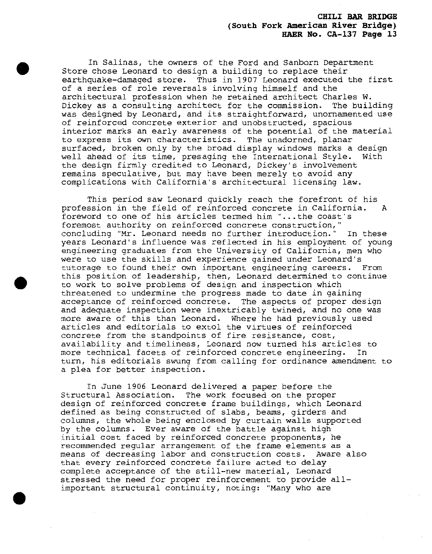In Salinas, the owners of the Ford and Sanborn Department Store chose Leonard to design a building to replace their earthquake-damaged store. Thus in 1907 Leonard executed the first of a series of role reversals involving himself and the architectural profession when he retained architect Charles W. Dickey as a consulting architect for the commission. The building was designed by Leonard, and its straightforward, unornamented use of reinforced concrete exterior and unobstructed, spacious interior marks an early awareness of the potential of the material to express its own characteristics. The unadorned, planar surfaced, broken only by the broad display windows marks a design well ahead of its time, presaging the International Style. With the design firmly credited to Leonard, Dickey's involvement remains speculative, but may have been merely to avoid any complications with California's architectural licensing law.

This period saw Leonard quickly reach the forefront of his profession in the field of reinforced concrete in California. A foreword to one of his articles termed him "...the coast's foremost authority on reinforced concrete construction," concluding "Mr. Leonard needs no further introduction." In these years Leonard's influence was reflected in his employment of young engineering graduates from the University of California, men who were to use the skills and experience gained under Leonard's tutorage to found their own important engineering careers. From this position of leadership, then, Leonard determined to continue to work to solve problems of design and inspection which threatened to undermine the progress made to date in gaining acceptance of reinforced concrete. The aspects of proper design and adequate inspection were inextricably twined, and no one was more aware of this than Leonard. Where he had previously used articles and editorials to extol the virtues of reinforced concrete from the standpoints of fire resistance, cost, availability and timeliness, Leonard now turned his articles to more technical facets of reinforced concrete engineering. In turn, his editorials swung from calling for ordinance amendment to a plea for better inspection.

In June 1906 Leonard delivered a paper before the Structural Association. The work focused on the proper design of reinforced concrete frame buildings, which Leonard defined as being constructed of slabs, beams, girders and columns, the whole being enclosed by curtain walls supported by the columns. Ever aware of the battle against high initial cost faced by reinforced concrete proponents, he recommended regular arrangement of the frame elements as a means of decreasing labor and construction costs. Aware also that every reinforced concrete failure acted to delay complete acceptance of the still-new material, Leonard stressed the need for proper reinforcement to provide allimportant structural continuity, noting: "Many who are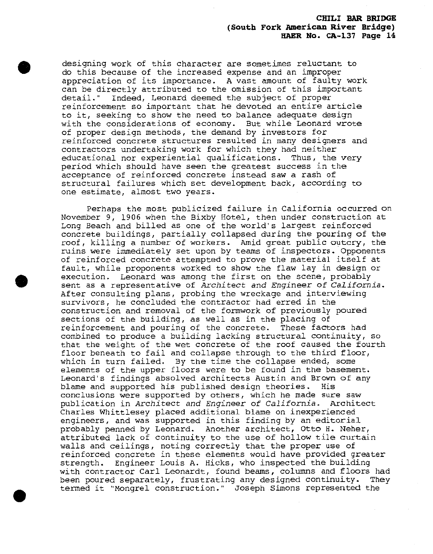designing work of this character are sometimes reluctant to do this because of the increased expense and an improper appreciation of its importance, A vast amount of faulty work can be directly attributed to the omission of this important detail." Indeed, Leonard deemed the subject of proper reinforcement so important that he devoted an entire article to it, seeking to show the need to balance adequate design with the considerations of economy. But while Leonard wrote of proper design methods, the demand by investors for reinforced concrete structures resulted in many designers and contractors undertaking work for which they had neither educational nor experiential qualifications. Thus, the very period which should have seen the greatest success in the acceptance of reinforced concrete instead saw a rash of structural failures which set development back, according to one estimate, almost two years.

Perhaps the most publicized failure in California occurred on November 9, 1906 when the Bixby Hotel, then under construction at Long Beach and billed as one of the world's largest reinforced concrete buildings, partially collapsed during the pouring of the roof, killing a number of workers. Amid great public outcry, the ruins were immediately set upon by teams of inspectors. Opponents of reinforced concrete attempted to prove the material itself at fault, while proponents worked to show the flaw lay in design or execution. Leonard was among the first on the scene, probably sent as <sup>a</sup> representative of Architect *and Engineer of California\** After consulting plans, probing the wreckage and interviewing survivors, he concluded the contractor had erred in the construction and removal of the formwork of previously poured sections of the building, as well as in the placing of reinforcement and pouring of the concrete. These factors had combined to produce a building lacking structural continuity, so that the weight of the wet concrete of the roof caused the fourth floor beneath to fail and collapse through to the third floor, which in turn failed. By the time the collapse ended, some elements of the upper floors were to be found in the basement. Leonard's findings absolved architects Austin and Brown of any blame and supported his published design theories. His conclusions were supported by others, which he made sure saw publication in *Architect and Engineer of California.* Architect Charles Whittlesey placed additional blame on inexperienced engineers, and was supported in this finding by an editorial probably penned by Leonard. Another architect, Otto H. Neher, attributed lack of continuity to the use of hollow tile curtain walls and ceilings, noting correctly that the proper use of reinforced concrete in these elements would have provided greater strength. Engineer Louis A. Hicks, who inspected the building with contractor Carl Leonardt, found beams, columns and floors had been poured separately, frustrating any designed continuity. They termed it "Mongrel construction." Joseph Simons represented the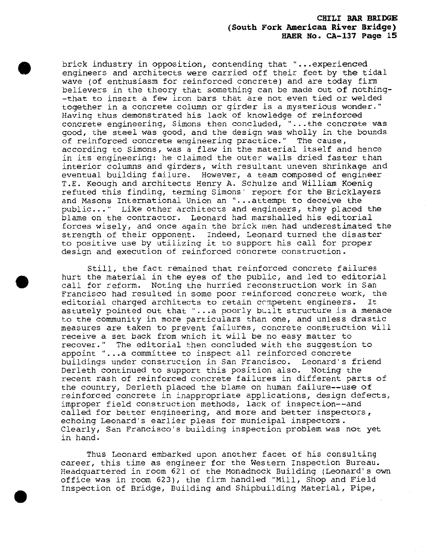brick industry in opposition, contending that "...experienced engineers and architects were carried off their feet by the tidal wave (of enthusiasm for reinforced concrete) and are today firm believers in the theory that something can be made out of nothing- -that to insert a few iron bars that are not even tied or welded together in a concrete column or girder is a mysterious wonder." Having thus demonstrated his lack of knowledge of reinforced concrete engineering, Simons then concluded, "...the concrete was good, the steel was good, and the design was wholly in the bounds of reinforced concrete engineering practice." The cause, according to Simons, was a flaw in the material itself and hence in its engineering: he claimed the outer walls dried faster than interior columns and girders, with resultant uneven shrinkage and eventual building failure. However, a team composed of engineer T.E. Keough and architects Henry A. Schulze and William Koenig refuted this finding, terming Simons' report for the Bricklayers and Masons International Union an "... attempt to deceive the public..." Like other architects and engineers, they placed the blame on the contractor. Leonard had marshalled his editorial forces wisely, and once again the brick men had underestimated the strength of their opponent. Indeed, Leonard turned the disaster to positive use by utilizing it to support his call for proper design and execution of reinforced concrete construction.

Still, the fact remained that reinforced concrete failures hurt the material in the eyes of the public, and led to editorial call for reform. Noting the hurried reconstruction work in San Francisco had resulted in some poor reinforced concrete work, the editorial charged architects to retain competent engineers. It astutely pointed out that "...a poorly built structure is a menace to the community in more particulars than one, and unless drastic measures are taken to prevent failures, concrete construction will receive a set back from which it will be no easy matter to recover." The editorial then concluded with the suggestion to appoint "...a committee to inspect all reinforced concrete buildings under construction in San Francisco. Leonard's friend Derleth continued to support this position also. Noting the recent rash of reinforced concrete failures in different parts of the country, Derleth placed the blame on human failure—use of reinforced concrete in inappropriate applications, design defects, improper field construction methods, lack of inspection—and called for better engineering, and more and better inspectors, echoing Leonard's earlier pleas for municipal inspectors. Clearly, San Francisco's building inspection problem was not yet in hand.

Thus Leonard embarked upon another facet of his consulting career, this time as engineer for the Western Inspection Bureau. Headquartered in room 621 of the Monadnock Building (Leonard's own office was in room 623), the firm handled "Mill, Shop and Field Inspection of Bridge, Building and Shipbuilding Material, Pipe,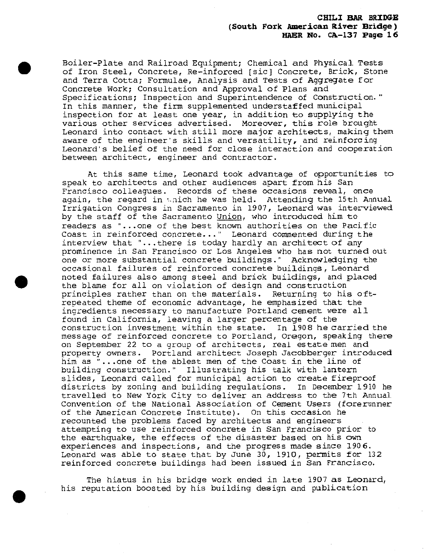Boiler-Plate and Railroad Equipment; Chemical and Physical Tests of Iron Steel, Concrete, Re-inforced [sic] Concrete, Brick, Stone and Terra Cotta; Formulae, Analysis and Tests of Aggregate for Concrete Work; Consultation and Approval of Plans and Specifications; Inspection and Superintendence of Construction." In this manner, the firm supplemented understaffed municipal inspection for at least one year, in addition to supplying the various other services advertised. Moreover, this role brought Leonard into contact with still more major architects, making them aware of the engineer's skills and versatility, and reinforcing Leonard's belief of the need for close interaction and cooperation between architect, engineer and contractor.

At this same time, Leonard took advantage of opportunities to speak to architects and other audiences apart from his San Francisco colleagues. Records of these occasions reveal, once again, the regard in which he was held. Attending the 15th Annual Irrigation Congress in Sacramento in 1907, Leonard was interviewed by the staff of the Sacramento Union, who introduced him to readers as "...one of the best known authorities on the Pacific Coast in reinforced concrete..." Leonard commented during the interview that "...there is today hardly an architect of any prominence in San Francisco or Los Angeles who has not turned out one or more substantial concrete buildings." Acknowledging the occasional failures of reinforced concrete buildings , Leonard noted failures also among steel and brick buildings, and placed the blame for all on violation of design and construction principles rather than on the materials. Returning to his oftrepeated theme of economic advantage, he emphasized that the ingredients necessary to manufacture Portland cement were all found in California, leaving a larger percentage of the construction investment within the state. In 1908 he carried the message of reinforced concrete to Portland, Oregon, speaking there on September 22 to a group of architects, real estate men and property owners. Portland architect Joseph Jacobberger introduced him as "...one of the ablest men of the Coast in the line of building construction." Illustrating his talk with lantern slides, Leonard called for municipal action to create fireproof districts by zoning and building regulations. In December 1910 he travelled to New York City to deliver an address to the 7th Annual Convention of the National Association of Cement Users (forerunner of the American Concrete Institute). On this occasion he recounted the problems faced by architects and engineers attempting to use reinforced concrete in San Francisco prior to the earthquake, the effects of the disaster based on his own experiences and inspections, and the progress made since 1906. Leonard was able to state that by June 30, 1910, permits for 132 reinforced concrete buildings had been issued in San Francisco,

The hiatus in his bridge work ended in late 1907 as Leonard, his reputation boosted by his building design and publication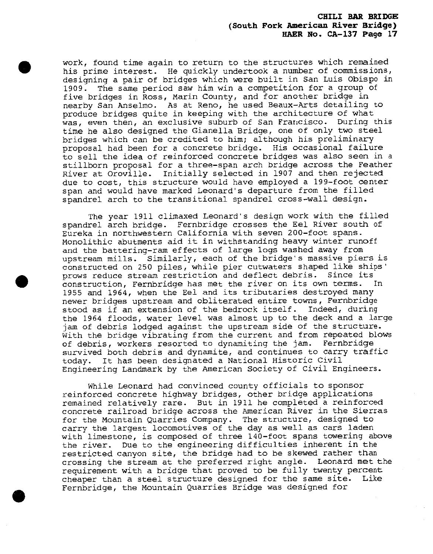work, found time again to return to the structures which remained his prime interest. He quickly undertook a number of commissions, designing a pair of bridges which were built in San Luis Obispo in 1909. The same period saw him win a competition for a group of five bridges in Ross, Marin County, and for another bridge in nearby San Anselmo. As at Reno, he used Beaux-Arts detailing to produce bridges quite in keeping with the architecture of what was, even then, an exclusive suburb of San Francisco. During this time he also designed the Gianella Bridge, one of only two steei bridges which can be credited to him; although his preliminary proposal had been for a concrete bridge. His occasional failure to sell the idea of reinforced concrete bridges was also seen in a stillborn proposal for a three-span arch bridge across the Feather River at Oroville. Initially selected in 1907 and then rejected due to cost, this structure would have employed a 199-foot center span and would have marked Leonard's departure from the filled spandrel arch to the transitional spandrel cross-wall design.

The year 1911 climaxed Leonard's design work with the filled spandrel arch bridge. Fernbridge crosses the Eel River south of Eureka in northwestern California with seven 200-foot spans. Monolithic abutments aid it in withstanding heavy winter runoff and the battering-ram effects of large logs washed away from upstream mills. Similarly, each of the bridge's massive piers is constructed on 250 piles, while pier cutwaters shaped like ships' prows reduce stream restriction and deflect debris. Since its construction, Fernbridge has met the river on its own terms. In 1955 and 1964, when the Eel and its tributaries destroyed many newer bridges upstream and obliterated entire towns, Fernbridge stood as if an extension of the bedrock itself. Indeed, during the 1964 floods, water level was almost up to the deck and a large jam of debris lodged against the upstream side of the structure. With the bridge vibrating from the current and from repeated blows of debris, workers resorted to dynamiting the jam. Fernbridge survived both debris and dynamite, and continues to carry traffic today. It has been designated a National Historic Civil Engineering Landmark by the American Society of civil Engineers.

While Leonard had convinced county officials to sponsor reinforced concrete highway bridges, other bridge applications remained relatively rare. But in 1911 he completed a reinforced concrete railroad bridge across the American River in the Sierras for the Mountain Quarries Company. The structure, designed to carry the largest locomotives of the day as well as cars laden with limestone, is composed of three 140-foot spans towering above the river. Due to the engineering difficulties inherent in the restricted canyon site, the bridge had to be skewed rather than crossing the stream at the preferred right angle. Leonard met the requirement with a bridge that proved to be fully twenty percent cheaper than a steel structure designed for the same site. Like Fernbridge, the Mountain Quarries Bridge was designed for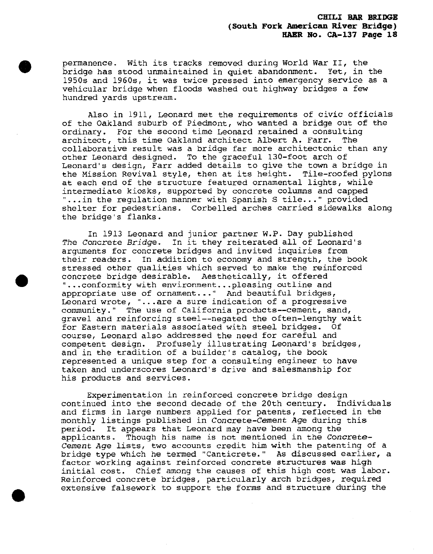permanence. With its tracks removed during World War II, the bridge has stood unmaintained in quiet abandonment. Yet, in the 1950s and 1960s, it was twice pressed into emergency service as a vehicular bridge when floods washed out highway bridges a few hundred yards upstream.

Also in 1911, Leonard met the requirements of civic officials of the Oakland suburb of Piedmont, who wanted a bridge out of the ordinary. For the second time Leonard retained a consulting architect, this time Oakland architect Albert A. Farr. The collaborative result was a bridge far more architectonic than any other Leonard designed. To the graceful 130-foot arch of Leonard's design, Farr added details to give the town a bridge in the Mission Revival style, then at its height. Tile-roofed pylons at each end of the structure featured ornamental lights, while intermediate kiosks, supported by concrete columns and capped "...in the regulation manner with Spanish S tile..." provided shelter for pedestrians. Corbelled arches carried sidewalks along the bridge's flanks.

In 1913 Leonard and junior partner W.P. Day published *The Concrete Bridge.* In it they reiterated all of Leonard's arguments for concrete bridges and invited inquiries from their readers. In addition to economy and strength, the book stressed other qualities which served to make the reinforced concrete bridge desirable. Aesthetically, it offered "...conformity with environment...pleasing outline and appropriate use of ornament..." And beautiful bridges, Leonard wrote, "...are a sure indication of a progressive community." The use of California products—cement, sand, gravel and reinforcing steel—negated the often-lengthy wait for Eastern materials associated with steel bridges. Of course, Leonard also addressed the need for careful and competent design. Profusely illustrating Leonard's bridges, and in the tradition of a builder's catalog, the book represented a unique step for a consulting engineer to have taken and underscores Leonard's drive and salesmanship for his products and services.

Experimentation in reinforced concrete bridge design continued into the second decade of the 20th century. Individuals and firms in large numbers applied for patents, reflected in the monthly listings published in *Concrete-Cement Age* during this period. It appears that Leonard may have been among the applicants. Though his name is not mentioned in the Concrete-Cement *Age* lists, two accounts credit him with the patenting of <sup>a</sup> bridge type which he termed "Canticrete." As discussed earlier, a factor working against reinforced concrete structures was high initial cost. Chief among the causes of this high cost was labor. Reinforced concrete bridges, particularly arch bridges, required extensive falsework to support the forms and structure during the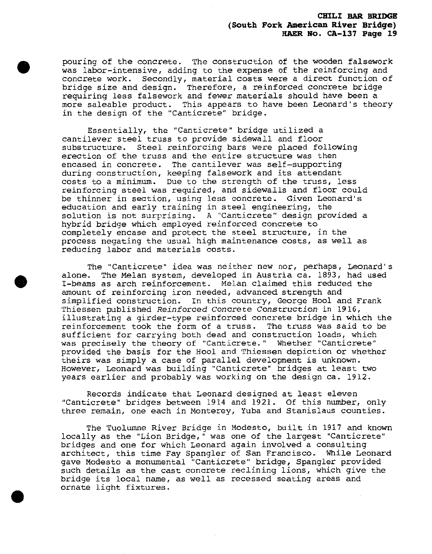pouring of the concrete. The construction of the wooden falsework was labor-intensive, adding to the expense of the reinforcing and concrete work. Secondly, material costs were a direct function of bridge size and design. Therefore, a reinforced concrete bridge requiring less falsework and fewer materials should have been a more saleable product. This appears to have been Leonard's theory in the design of the "Canticrete" bridge.

Essentially, the "Canticrete" bridge utilized a cantilever steel truss to provide sidewall and floor substructure. Steel reinforcing bars were placed following erection of the truss and the entire structure was then encased in concrete. The cantilever was self-supporting during construction, keeping falsework and its attendant costs to a minimum. Due to the strength of the truss, less reinforcing steel was required, and sidewalls and floor could be thinner in section, using less concrete. Given Leonard's education and early training in steel engineering, the solution is not surprising. A "Canticrete" design provided a hybrid bridge which employed reinforced concrete to completely encase and protect the steel structure, in the process negating the usual high maintenance costs, as well as reducing labor and materials costs.

The "Canticrete" idea was neither new nor, perhaps, Leonard's alone. The Melan system, developed in Austria ca. 1893, had used I-beams as arch reinforcement. Melan claimed this reduced the amount of reinforcing iron needed, advanced strength and simplified construction. In this country, George Hool and Frank Thiessen published *Reinforced Concrete Construction* in 1916, illustrating a girder-type reinforced concrete bridge in which the reinforcement took the form of a truss. The truss was said to be sufficient for carrying both dead and construction loads, which was precisely the theory of "Canticrete." Whether "Canticrete" provided the basis for the Hool and Thiessen depiction or whether theirs was simply a case of parallel development is unknown. However, Leonard was building "Canticrete" bridges at least two years earlier and probably was working on the design ca. 1912.

Records indicate that Leonard designed at least eleven "Canticrete" bridges between 1914 and 1921. Of this number, only three remain, one each in Monterey, Yuba and Stanislaus counties.

The Tuolumne River Bridge in Modesto, built in 1917 and known locally as the "Lion Bridge," was one of the largest "Canticrete" bridges and one for which Leonard again involved a consulting architect, this time Fay Spangler of San Francisco- While Leonard gave Modesto a monumental "Canticrete" bridge, Spangler provided such details as the cast concrete reclining lions, which give the bridge its local name, as well as recessed seating areas and ornate light fixtures.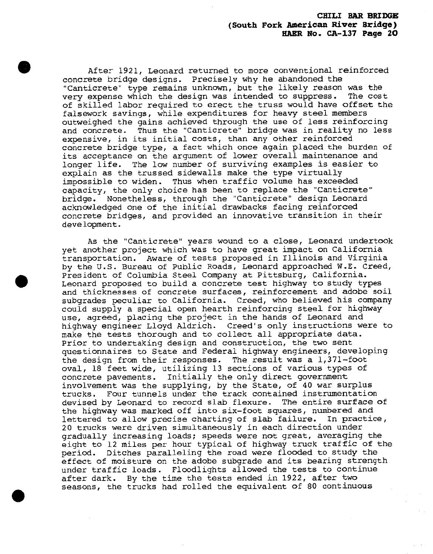After 1921, Leonard returned to more conventional reinforced concrete bridge designs. Precisely why he abandoned the "Canticrete" type remains unknown, but the likely reason was the very expense which the design was intended to suppress. The cost of skilled labor required to erect the truss would have offset the falsework savings, while expenditures for heavy steel members outweighed the gains achieved through the use of less reinforcing and concrete. Thus the "Canticrete" bridge was in reality no less expensive, in its initial costs, than any other reinforced concrete bridge type, a fact which once again placed the burden of its acceptance on the argument of lower overall maintenance and longer life. The low number of surviving examples is easier to explain as the trussed sidewalls make the type virtually impossible to widen. Thus when traffic volume has exceeded capacity, the only choice has been to replace the "Canticrete" bridge. Nonetheless, through the "Canticrete" design Leonard acknowledged one of the initial drawbacks facing reinforced concrete bridges, and provided an innovative transition in their development.

As the "Canticrete" years wound to a close, Leonard undertook yet another project which was to have great impact on California transportation. Aware of tests proposed in Illinois and Virginia by the U.S. Bureau of Public Roads, Leonard approached W.E. Creed, President of Columbia Steel Company at Pittsburg, California. Leonard proposed to build a concrete test highway to study types and thicknesses of concrete surfaces, reinforcement and adobe soil subgrades peculiar to California. Creed, who believed his company could supply a special open hearth reinforcing steel for highway use, agreed, placing the project in the hands of Leonard and highway engineer Lloyd Aldrich. Creed's only instructions were to make the tests thorough and to collect all appropriate data. Prior to undertaking design and construction, the two sent questionnaires to State and Federal highway engineers, developing the design from their responses. The result was a 1,371-foot oval, 18 feet wide, utilizing 13 sections of various types of concrete pavements. Initially the only direct government involvement was the supplying, by the State, of 40 war surplus trucks. Four tunnels under the track contained instrumentation devised by Leonard to record slab flexure. The entire surface of the highway was marked off into six-foot squares, numbered and lettered to allow precise charting of slab failure. In practice, 20 trucks were driven simultaneously in each direction under gradually increasing loads; speeds were not great, averaging the eight to 12 miles per hour typical of highway truck traffic of the period. Ditches paralleling the road were flooded to study the effect of moisture on the adobe subgrade and its bearing strength under traffic loads. Floodlights allowed the tests to continue after dark. By the time the tests ended in 1922, after two seasons, the trucks had rolled the equivalent of 80 continuous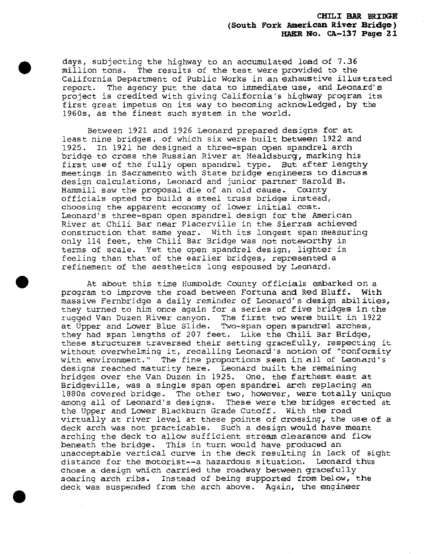days, subjecting the highway to an accumulated load of 7.36 million tons. The results of the test were provided to the California Department of Public Works in an exhaustive illustrated report. The agency put the data to immediate use, and Leonard's project is credited with giving California's highway program its first great impetus on its way to becoming acknowledged, by the 1960s, as the finest such system in the world.

Between 1921 and 1926 Leonard prepared designs for at least nine bridges, of which six were built between 1922 and 1925. In 1921 he designed a three-span open spandrel arch bridge to cross the Russian River at Healdsburg, marking his first use of the fully open spandrel type. But after lengthy meetings in Sacramento with State bridge engineers to discuss design calculations, Leonard and junior partner Harold B. Hammill saw the proposal die of an old cause. County officials opted to build a steel truss bridge instead, choosing the apparent economy of lower initial cost. Leonard's three-span open spandrel design for the American River at Chili Bar near Placerville in the Sierras achieved construction that same year. With its longest span measuring only 114 feet, the Chili Bar Bridge was not noteworthy in terms of scale. Yet the open spandrel design, lighter in feeling than that of the earlier bridges, represented a refinement of the aesthetics long espoused by Leonard.

At about this time Humboldt County officials embarked on a program to improve the road between Fortuna and Red Bluff. With massive Fernbridge a daily reminder of Leonard's design abilities, they turned to him once again for a series of five bridges in the rugged Van Duzen River canyon. The first two were built in 1922 at Upper and Lower Blue Slide. Two-span open spandrel arches, they had span lengths of 207 feet. Like the Chili Bar Bridge, these structures traversed their setting gracefully, respecting it without overwhelming it, recalling Leonard's notion of "conformity with environment." The fine proportions seen in all of Leonard's designs reached maturity here. Leonard built the remaining bridges over the Van Duzen in 1925. One, the farthest east at Bridgeville, was a single span open spandrel arch replacing an 1880s covered bridge. The other two, however, were totally unique among all of Leonard's designs. These were the bridges erected at the Upper and Lower Blackburn Grade Cutoff. With the road virtually at river level at these points of crossing, the use of a deck arch was not practicable. Such a design would have meant arching the deck to allow sufficient stream clearance and flow beneath the bridge. This in turn would have produced an unacceptable vertical curve in the deck resulting in lack of sight distance for the motorist—a hazardous situation. Leonard thus chose a design which carried the roadway between gracefully soaring arch ribs. Instead of being supported from below, the deck was suspended from the arch above. Again, the engineer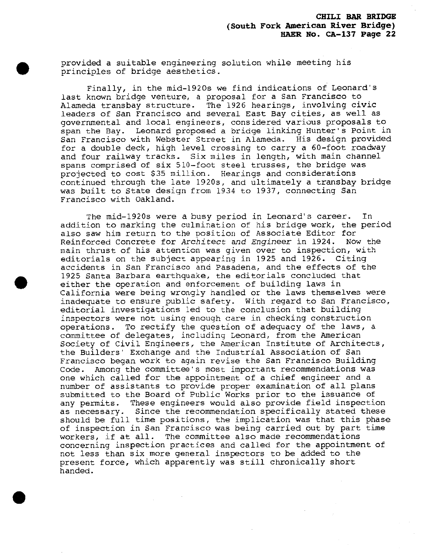provided a suitable engineering solution while meeting his principles of bridge aesthetics.

Finally, in the mid-1920s we find indications of Leonard's last known bridge venture, a proposal for a San Francisco to Alameda transbay structure. The 1926 hearings, involving civic leaders of San Francisco and several East Bay cities, as well as governmental and local engineers, considered various proposals to span the Bay. Leonard proposed a bridge linking Hunter's Point in San Francisco with Webster Street in Alameda. His design provided for a double deck, high level crossing to carry a 60-foot roadway and four railway tracks. Six miles in length, with main channel spans comprised of six 510-foot steel trusses, the bridge was projected to cost \$35 million. Hearings and considerations continued through the late 1920s, and ultimately a transbay bridge was built to State design from 1934 to 1937, connecting San Francisco with Oakland.

The mid-1920s were a busy period in Leonard's career. In addition to marking the culmination of his bridge work, the period also saw him return to the position of Associate Editor for Reinforced Concrete for Architect *and Engineer* in 1924. Now the main thrust of his attention was given over to inspection, with editorials on the subject appearing in 1925 and 1926. Citing accidents in San Francisco and Pasadena, and the effects of the 1925 Santa Barbara earthquake, the editorials concluded that either the operation and enforcement of building laws in California were being wrongly handled or the laws themselves were inadequate to ensure public safety. With regard to San Francisco, editorial investigations led to the conclusion that building inspectors were not using enough care in checking construction operations. To rectify the question of adequacy of the laws, a committee of delegates, including Leonard, from the American Society of Civil Engineers, the American Institute of Architects, the Builders' Exchange and the Industrial Association of San Francisco began work to again revise the San Francisco Building Code. Among the committee's most important recommendations was one which called for the appointment of a chief engineer and a number of assistants to provide proper examination of all plans submitted to the Board of Public Works prior to the issuance of any permits. These engineers would also provide field inspection as necessary. Since the recommendation specifically stated these should be full time positions, the implication was that this phase of inspection in San Francisco was being carried out by part time workers, if at all. The committee also made recommendations concerning inspection practices and called for the appointment of not less than six more general inspectors to be added to the present force, which apparently was still chronically short handed.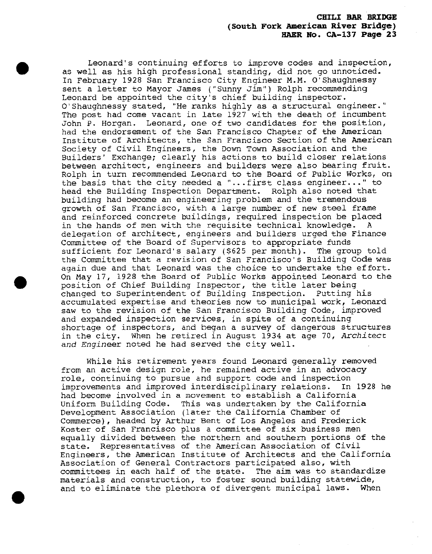Leonard's continuing efforts to improve codes and inspection, as well as his high professional standing, did not go unnoticed. In February 1928 San Francisco City Engineer M.M. 0'Shaughnessy sent a letter to Mayor James ("Sunny Jim") Rolph recommending Leonard be appointed the city's chief building inspector. O'Shaughnessy stated, "He ranks highly as a structural engineer." The post had come vacant in late 1927 with the death of incumbent John p. Horgan. Leonard, one of two candidates for the position, had the endorsement of the San Francisco Chapter of the American Institute of Architects, the San Francisco Section of the American Society of Civil Engineers, the Down Town Association and the Builders' Exchange; clearly his actions to build closer relations between architect, engineers and builders were also bearing fruit. Rolph in turn recommended Leonard to the Board of Public Works, on the basis that the city needed a "...first class engineer..." to head the Building Inspection Department. Rolph also noted that building had become an engineering problem and the tremendous growth of San Francisco, with a large number of new steel frame and reinforced concrete buildings, required inspection be placed in the hands of men with the requisite technical knowledge. A delegation of architect, engineers and builders urged the Finance Committee of the Board of Supervisors to appropriate funds sufficient for Leonard's salary (\$625 per month). The group told the Committee that a revision of San Francisco's Building Code was again due and that Leonard was the choice to undertake the effort. On May 17, 1928 the Board of Public Works appointed Leonard to the position of Chief Building Inspector, the title later being changed to Superintendent of Building Inspection. Putting his accumulated expertise and theories now to municipal work, Leonard saw to the revision of the San Francisco Building Code, improved and expanded inspection services, in spite of a continuing shortage of inspectors, and began a survey of dangerous structures in the city. When he retired in August <sup>1934</sup> at age 70, *Architect and. Engineer* noted he had served the city well.

While his retirement years found Leonard generally removed from an active design role, he remained active in an advocacy role, continuing to pursue and support code and inspection improvements and improved interdisciplinary relations. In 1928 he had become involved in a movement to establish a California Uniform Building Code. This was undertaken by the California Development Association (later the California Chamber of Commerce), headed by Arthur Bent of Los Angeles and Frederick Koster of San Francisco plus a committee of six business men equally divided between the northern and southern portions of the state. Representatives of the American Association of Civil Engineers, the American Institute of Axchitects and the California Association of General Contractors participated also, with committees in each half of the state. The aim was to standardize materials and construction, to foster sound building statewide, and to eliminate the plethora of divergent municipal laws. When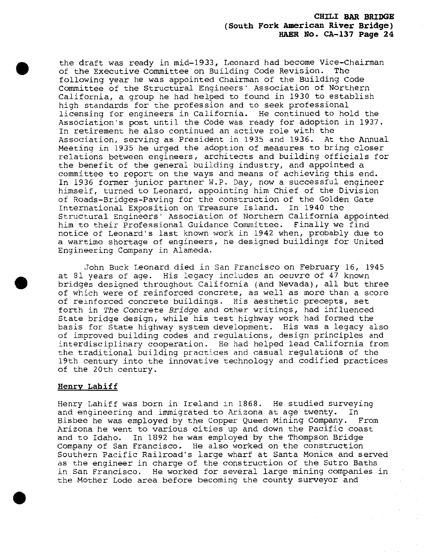the draft was ready in mid-1933, Leonard had become Vice-chairman of the Executive Committee on Building Code Revision. The following year he was appointed Chairman of the Building Code Committee of the Structural Engineers' Association of Northern California, a group he had helped to found in 1930 to establish high standards for the profession and to seek professional licensing for engineers in California. He continued to hold the Association's post until the Code was ready for adoption in 1937. In retirement he also continued an active role with the Association, serving as President in 1935 and 1936. At the Annual Meeting in 1935 he urged the adoption of measures to bring closer relations between engineers, architects and building officials for the benefit of the general building industry, and appointed a committee to report on the ways and means of achieving this end. In 1936 former junior partner W.P. Day, now a successful engineer himself, turned to Leonard, appointing him Chief of the Division of Roads-Bridges-Paving for the construction of the Golden Gate International Exposition on Treasure Island. In 1940 the Structural Engineers' Association of Northern California appointed him to their Professional Guidance Committee. Finally we find notice of Leonard's last known work in 1942 when, probably due to a wartime shortage of engineers, he designed buildings for United Engineering Company in Alameda.

John Buck Leonard died in San Francisco on February 16, 1945 at <sup>31</sup> years of age. His legacy includes an *oeuvre* of <sup>47</sup> known bridges designed throughout California (and Nevada), all but three of which were of reinforced concrete, as well as more than a score of reinforced concrete buildings. His aesthetic precepts, set forth in *The Concrete Bridge* and other writings, had influenced State bridge design, while his test highway work had formed the basis for State highway system development. His was a legacy also of improved building codes and regulations, design principles and interdisciplinary cooperation. He had helped lead California from the traditional building practices and casual regulations of the 19th century into the innovative technology and codified practices of the 20th century.

#### **Henry Lahiff**

Henry Lahiff was born in Ireland in 1868. He studied surveying and engineering and immigrated to Arizona at age twenty. In Bisbee he was employed by the Copper Queen Mining Company. From Arizona he went to various cities up and down the Pacific coast and to Idaho. In 1892 he was employed by the Thompson Bridge Company of San Francisco. He also worked on the construction Southern Pacific Railroad's large wharf at Santa Monica and served as the engineer in charge of the construction of the Sutro Baths in San Francisco. He worked for several large mining companies in the Mother Lode area before becoming the county surveyor and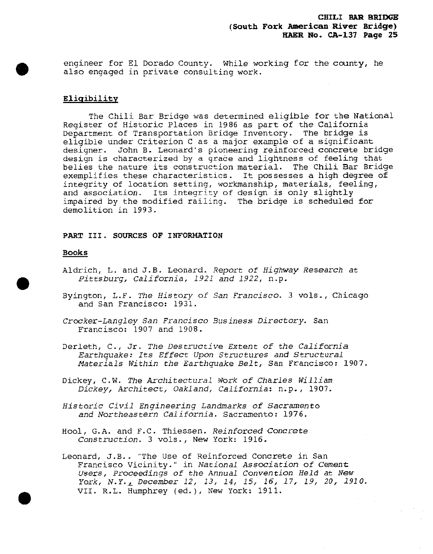engineer for El Dorado County. While working for the county, he also engaged in private consulting work.

## **Eligibility**

The Chili Bar Bridge was determined eligible for the National Register of Historic Places in 1986 as part of the California Department of Transportation Bridge Inventory. The bridge is eligible under Criterion C as a major example of a significant designer. John B. Leonard's pioneering reinforced concrete bridge design is characterized by a grace and lightness of feeling that belies the nature its construction material. The Chili Bar Bridge exemplifies these characteristics. It possesses a high degree of integrity of location setting, workmanship, materials, feeling, and association. Its integrity of design is only slightly impaired by the modified railing. The bridge is scheduled for demolition in 1993.

## **PART III. SOURCES OF INFORMATION**

#### **Books**

- Aldrich, L. and J.B. Leonard. .Report *of Highway Research at Pittsburg, California, 1921 and 1922,* n.p.
- Byington, L.F. *The History of San Francisco.* <sup>3</sup> vols., Chicago and San Francisco: 1931.
- *Crocker-Langley San Francisco Business Directory.* San Francisco: 1907 and 1908.
- Derleth, C, Jr. *The Destructive Extent of the California Earthquake: Its Effect Upon Structures and Structural Materials Within the Earthquake Belt,* San Francisco: 1907.

Dickey, C.W. *The Architectural Work of Charles William Dickey, Architect, Oakland, California:* n.p. , 1907.

- *Historic Civil Engineering Landmarks of Sacramento and Northeastern California.* Sacramento: 1976,
- Hool, G.A. and F.C. Thiessen. *Reinforced Concrete Construction.* <sup>3</sup> vols., New York: 1916.

Leonard, J.B.. "The Use of Reinforced Concrete in San Francisco vicinity." in *National Association of Cement Users, Proceedings of the Annual Convention Held at New York, N.Y.j\_ December 12, 13, 14, 15, 16, 17, 19, 20, 1910.* VII. R.L. Humphrey (ed.), New York: 1911.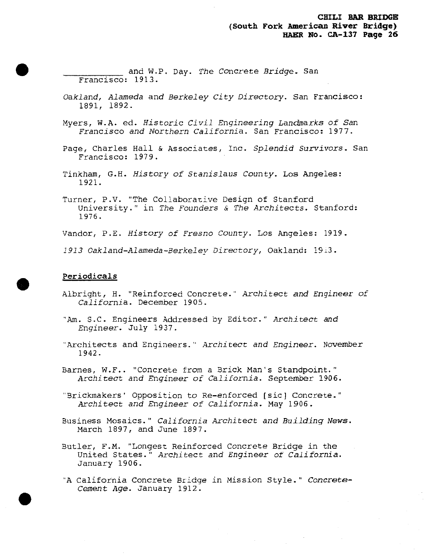and W.P. Day. *The Concrete Bridge.* San Francisco: 1913

- *Oakland, Alameda and Berkeley City Directory.* San Francisco: 1891, 1892.
- Myers, W.A. ed. *Historic Civil Engineering Landmarks of San Francisco and Northern California.* San Francisco: 1977.
- Page, Charles Hall & Associates, Inc. Splendid *Survivors*. San Francisco: 1979.
- Tinkham, G.H. *History of Stanislaus County.* Los Angeles: 1921.
- Turner, P.V. "The Collaborative Design of Stanford University." in *The Founders & The Architects.* Stanford: 1976.

Vandor, P.E. *History of Fresno County.* Los Angeles: 1919.

*1913 Cakland-Alameda-Berkeley Directory,* Oakland: 19x3.

#### Periodicals

- Albright, H. "Reinforced Concrete." *Architect and Engineer of California.* December 1905.
- "Am. S.C. Engineers Addressed by Editor." *Architect and Engineer.* July 1937.
- "Architects and Engineers." *Architect and Engineer.* November 1942.
- Barnes, W.F.. "Concrete from a Brick Man's Standpoint." Architect *and Engineer of California.* September 1906.
- "Brickmakers' Opposition to Re-enforced [sic] Concrete." Architect *and Engineer of California.* May 1906.
- Business Mosaics." *California Architect and Building News.* March 1897, and June 1897.
- Butler, F.M. "Longest Reinforced Concrete Bridge in the United States." Architect *and Engineer of California.* January 1906.
- "A California Concrete Bridge in Mission Style." Concrete-Cement *Age.* January 1912.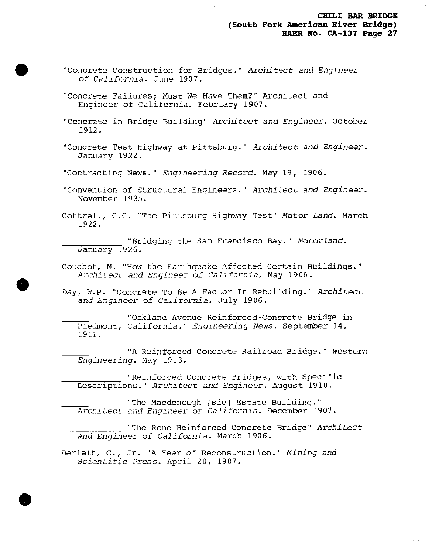- "Concrete Construction for Bridges." Architect *and Engineer of California.* June 1907.
- "Concrete Failures; Must We Have Them?" Architect and Engineer of California. February 1907.
- "Concrete in Bridge Building" Architect *and Engineer,* October 1912.
- "Concrete Test Highway at Pittsburg." Architect *and Engineer.* January 1922.
- "Contracting News." *Engineering Record,* May 19, 1906.
- "Convention of Structural Engineers." *Architect and Engineer.* November 1935.
- Cottrell, C.C. "The Pittsburg Highway Test" *Motor Land.* March 1922.

"Bridging the San Francisco Bay." *Motorland.* January 1926.

Couchot, M. "How the Earthquake Affected Certain Buildings." *Architect and Engineer of California,* May 1906.

Day, W.P. "Concrete To Be A Factor In Rebuilding." *Architect and Engineer of California.* July 1906.

"Oakland Avenue Reinforced-Concrete Bridge in Piedmont, California." *Engineering News.* September 14, 1911.

"A Reinforced Concrete Railroad Bridge." *Western Engineering.* May 1913.

"Reinforced Concrete Bridges, with Specific Descriptions." *Architect and Engineer.* August 1910.

"The Macdonough [sic] Estate Building." Architect *and Engineer of California.* December 1907.

"The Reno Reinforced Concrete Bridge" *Architect and Engineer of California.* March 1906.

Derleth, C, Jr. "A Year of Reconstruction." *Mining and Scientific Press.* April 20, 1907.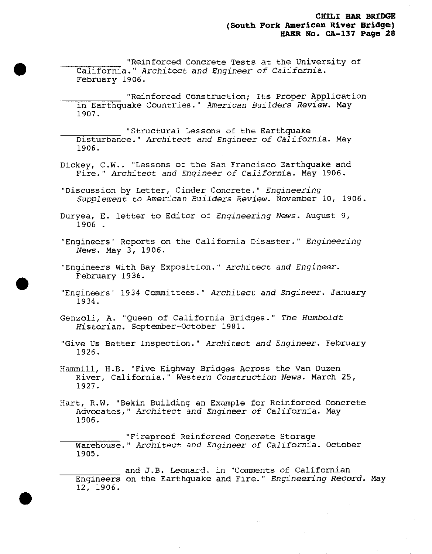"Reinforced Concrete Tests at the University of California." Architect *and Engineer of California,* February 1906.

"Reinforced Construction; Its Proper Application in Earthquake Countries." *American Builders Review.* May 1907.

"Structural Lessons of the Earthquake Disturbance." Architect *and Engineer of California.* May 1906.

Dickey, C.W.. "Lessons of the San Francisco Earthquake and Fire." Architect *and Engineer of California.* May 1906.

"Discussion by Letter, Cinder Concrete." *Engineering Supplement to American Builders Review.* November 10, 1906.

Duryea, E. letter to Editor of *Engineering News.* August 9, 1906 .

"Engineers' Reports on the California Disaster." *Engineering News.* May 3, 1906.

"Engineers With Bay Exposition." Architect *and Engineer.* February 1936.

"Engineers' <sup>1934</sup> Committees." Architect *and Engineer.* January 1934.

Genzoli, A. "Queen of California Bridges." *The Humboldt Historian.* September-October 1981.

"Give Us Better Inspection." Architect *and Engineer.* February 1926.

Hammill, H.B. "Five Highway Bridges Across the Van Duzen River, California." Western *Construction News.* March 25, 1927.

Hart, R.W. "Bekin Building an Example for Reinforced Concrete Advocates," Architect *and Engineer of California.* May 1906.

"Fireproof Reinforced Concrete Storage Warehouse." *Architect and Engineer of California.* October 1905.

and J.B. Leonard, in "Comments of Californian Engineers on the Earthquake and Fire." *Engineering Record\** May 12, 1906.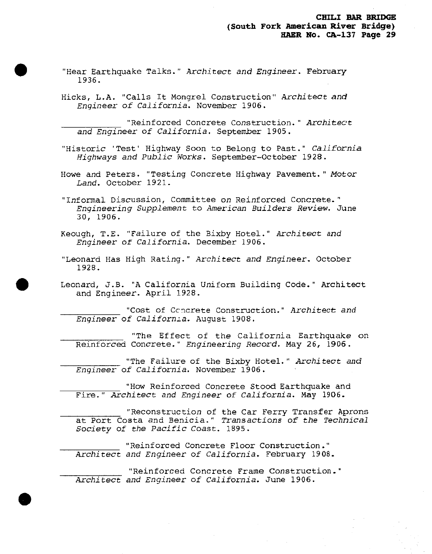- "Hear Earthquake Talks." *Architect and Engineer.* February 1936.
- Hicks, L.A. "Calls It Mongrel Construction" *Architect and Engineer of California.* November 1906.

"Reinforced Concrete Construction." *Architect and Engineer of California.* September 1905.

"Historic 'Test' Highway Soon to Belong to Past." *California Highways and Public Works.* September-October 1928.

Howe and Peters. "Testing Concrete Highway Pavement." Motor *Land.* October 1921.

"Informal Discussion, Committee on Reinforced Concrete." *Engineering Supplement to American Builders Review\** June 30, 1906.

Keough, T.E. "Failure of the Bixby Hotel." Architect *and Engineer of California.* December 1906.

"Leonard Has High Rating." *Architect and Engineer.* October 1928.

Leonard, J.B. "A California Uniform Building Code." Architect and Engineer. April 1928.

"Cost of Concrete Construction." Architect *and Engineer of California.* August 1908.

"The Effect of the California Earthquake on Reinforced Concrete." *Engineering Record.* May 26, 1906.

"The Failure of the Bixby Hotel." *Architect and Engineer of California.* November 1906.

"How Reinforced Concrete Stood Earthquake and Fire." Architect *and Engineer of California.* May 1906.

"Reconstruction of the Car Ferry Transfer Aprons at Port Costa and Benicia." *Transactions of the Technical Society of the Pacific Coast.* 1895.

"Reinforced Concrete Floor Construction." *Architect and Engineer of California.* February 1908.

"Reinforced Concrete Frame Construction." Architect *and Engineer of California.* June 1906.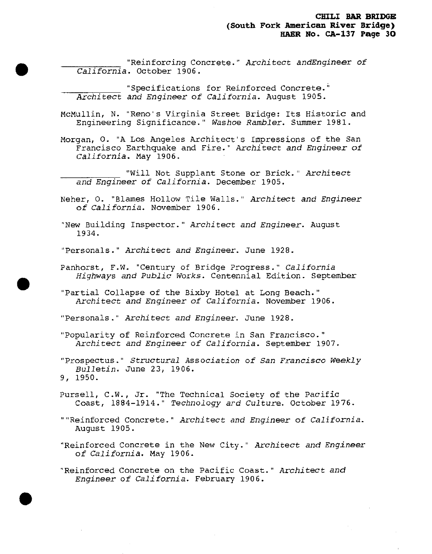"Reinforcing Concrete." Architect *andEngineer of California.* October 1906.

"Specifications for Reinforced Concrete." Architect *and Engineer of California.* August 1905.

McMullin, N. "Reno's Virginia Street Bridge: Its Historic and Engineering Significance." *Washoe Rambler.* Summer 1981.

Morgan, O. "A Los Angeles Architect's Impressions of the San Francisco Earthquake and Fire." *Architect and Engineer of California\** May 1906.

"Will Not Supplant Stone or Brick." Architect *and Engineer of California.* December 1905.

- Neher, 0. "Blames Hollow Tile Walls." Architect *and Engineer of California.* November 1906.
- "New Building Inspector." *Architect and Engineer.* August 1934.

"Personals." Architect *and Engineer.* June 1928.

- Panhorst, F.W. "Century of Bridge Progress." *California Highways and Public Works.* Centennial Edition. September
- "Partial Collapse of the Bixby Hotel at Long Beach." *Architect and Engineer of California.* November 1906.

"Personals." *Architect and Engineer.* June 1928.

"Popularity of Reinforced Concrete in San Francisco." *Architect and Engineer of California.* September 1907.

"Prospectus." *Structural Association of San Francisco Weekly Bulletin.* June 23, 1906. 9, 1950.

- Pursell, C.W., Jr. "The Technical Society of the Pacific Coast, 1884-1914." *Technology ard Culture.* October 1976.
- ""Reinforced Concrete." Architect *and Engineer of California.* August 1905.

"Reinforced Concrete in the New City." Architect *and Engineer of California.* May 1906.

"Reinforced Concrete on the Pacific Coast." Architect *and Engineer of California.* February 1906.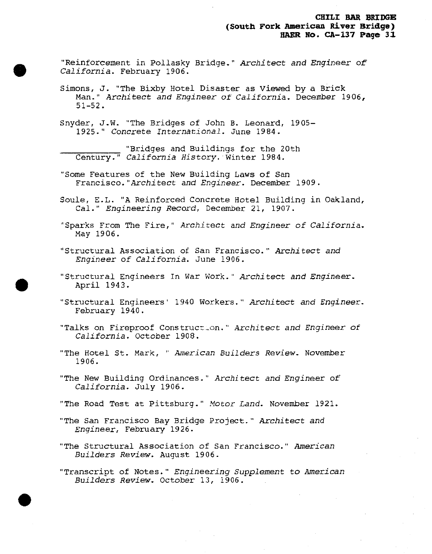"Reinforcement in Pollasky Bridge." Architect *and Engineer of California.* February 1906.

Simons, J. "The Bixby Hotel Disaster as viewed by a Brick Man." Architect *and Engineer of California.* December 1906, 51-52.

Snyder, J.W. "The Bridges of John B. Leonard, 1905- 1925." Concrete *International.* June 1984.

"Bridges and Buildings for the 20th Century." *California History.'Winter* 1984.

"Some Features of the New Building Laws of San Francisco."Architect *and Engineer.* December 1909.

Soule, E.L. "A Reinforced Concrete Hotel Building in Oakland, Cal." *Engineering Record, December 21, 1907.* 

"Sparks From The Fire," Architect *and Engineer of California.* May 1906.

"Structural Association of San Francisco." Architect *and Engineer of California.* June 1906.

"Structural Engineers In War Work." Architect *and Engineer.* April 1943.

"Structural Engineers' <sup>1940</sup> Workers." *Architect and Engineer.* February 1940.

"Talks on Fireproof Construction." Architect *and Engineer of California.* October 1908.

"The Hotel St. Mark, " *American Builders Review.* November 1906,

"The New Building Ordinances." *Architect and Engineer of California.* July 1906.

"The Road Test at Pittsburg." Motor Land. November 1921.

"The San Francisco Bay Bridge Project." *Architect and Engineer,* February 1926.

"The Structural Association of San Francisco." *American Builders Review.* August 1906.

"Transcript of Notes." *Engineering Supplement to American Builders Review.* October 13, 1906.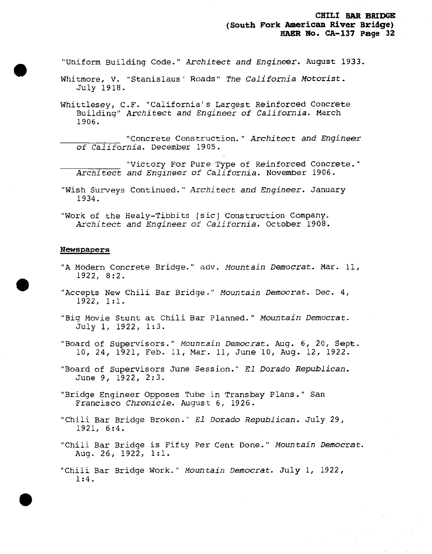"Uniform Building Code." *Architect and Engineer.* August 1933.

- Whitmore, V. "Stanislaus' Roads" *The California Motorist.* July 1918.
- Whittlesey, C.F. "California's Largest Reinforced Concrete Building" *Architect and Engineer of California.* March 1906.
	- ^^ "Concrete Construction. " Architect *and Engineer of California.* December 1905.
	- "Victory For Pure Type of Reinforced Concrete." *Architect and Engineer of California.* November 1906.
- "Wish Surveys Continued." *Architect and Engineer.* January 1934.
- "Work of the Healy-Tibbits [sic] Construction Company. Architect *and Engineer of California.* October 1908.

#### Newspapers

- "A Modern Concrete Bridge." adv. *Mountain Democrat.* Mar. 11, 1922, 8:2.
- "Accepts New Chili Bar Bridge." *Mountain Democrat.* Dec. 4, 1922, 1:1.
- "Big Movie Stunt at Chili Bar Planned." *Mountain Democrat.* July 1, 1922, 1:3.
- "Board of Supervisors." *Mountain Democrat.* Aug. 6, 20, Sept. 10, 24, 1921, Feb. 11, Mar. 11, June 10, Aug. 12, 1922.
- "Board of Supervisors June Session." *El Dorado Republican.* June 9, 1922, 2:3.
- "Bridge Engineer Opposes Tube in Transbay Plans." San Francisco *Chronicle.* August 6, 1926.
- "Chili Bar Bridge Broken." *El Dorado Republican.* July 29, 1921, 6:4.
- "Chili Bar Bridge is Fifty Per Cent Done." *Mountain Democrat,* Aug. 26, 1922, 1:1.
- "Chili Bar Bridge Work." *Mountain Democrat.* July 1, 1922, 1:4.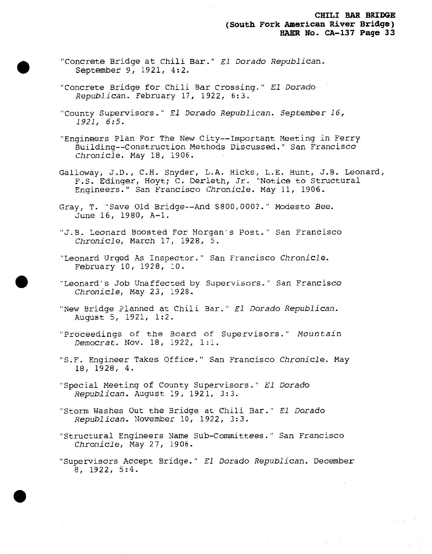- "Concrete Bridge at Chili Bar." *El Dorado Republican.* September 9, 1921, 4:2.
- "Concrete Bridge for Chili Bar Crossing." *El Dorado Republ1can*. February 17, 1922, 6:3.
- "County Supervisors." *El Dorado Republican. September 16, 1921, 6:5.*
- "Engineers Plan For The New City—Important Meeting in Ferry Building—Construction Methods Discussed." San Francisco *Chronicle.* May 18, 1906.
- Galloway, J.D., C.H. Snyder, L.A. Hicks, L.E. Hunt, J.B. Leonard, F.S. Edinger, Hoyt; C. Derleth, Jr. "Notice to Structural Engineers." San Francisco *Chronicle.* May 11, 1906.
- Gray, T. "Save Old Bridge—And \$800,000?." Modesto See. June 16, 1980, A-l.
- "J.B. Leonard Boosted For Morgan's Post." San Francisco *Chronicle,* March 17, 1928, 5.
- "Leonard Urged As Insoector." San Francisco *Chronicle.* February 10, 1928, 10.
- "Leonard's Job Unaffected by Supervisors." San Francisco *Chronicle,* May 23, 1928.
- "New Bridge Planned at Chili Bar." *El Dorado Republican.* August 5, 1921, 1:2.
- "Proceedings of the Board of Supervisors." *Mountain Democrat.* Nov. 18, 1922, 1:1.
- "S.F. Engineer Takes Office." San Francisco *Chronicle.* May 18, 1928, 4.
- "Special Meeting of County Supervisors." *El Dorado Republican.* August 19, 1921, 3:3.
- "Storm Washes Out the Bridge at Chili Bar." *El Dorado Republican.* November 10, 1922, *3:3.*
- "Structural Engineers Name Sub-Committees." San Francisco *Chronicle,* May 27, 1906.
- "Supervisors Accept Bridge." *El Dorado Republican.* December 8, 1922, 5:4.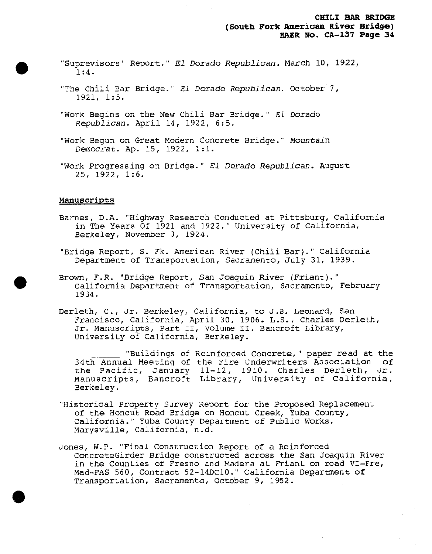- "Suprevisors' Report." *El Dorado Republican.* March 10, 1922, 1:4.
- "The Chili Bar Bridge." *El Dorado Republican.* October 7, 1921, 1:5.
- "Work Begins on the New Chili Bar Bridge." *El Dorado Republican.* April 14, 1922, 6:5.
- "Work Begun on Great Modern Concrete Bridge." *Mountain Democrat.* Ap. 15, 1922, 1:1.
- "Work Progressing on Bridge." *El Dorado Republican.* August 25, 1922, 1:6.

#### Manuscripts

- Barnes, D.A. "Highway Research Conducted at Pittsburg, California in The Years Of 1921 and 1922." University of California, Berkeley, November 3, 1924.
- "Bridge Report, S. Fk. American River (Chili Bar)." California Department of Transportation, Sacramento, July 31, 1939.
- Brown, F.R. "Bridge Report, San Joaquin River (Friant)." California Department of Transportation, Sacramento, February 1934.
- Derleth, C, Jr. Berkeley, California, to J.B. Leonard, San Francisco, California, April 30, 1906. L.S., Charles Derleth, Jr. Manuscripts, Part II, Volume II. Bancroft Library, University of California, Berkeley.
	- "Buildings of Reinforced Concrete," paper read at the 34th Annual Meeting of the Fire Underwriters Association of the Pacific, January 11-12, 1910. Charles Derleth, Jr. Manuscripts, Bancroft Library, University of California, Berkeley.
- "Historical Property Survey Report for the Proposed Replacement of the Honcut Road Bridge on Honcut Creek, Yuba County, California." Yuba County Department of Public Works, Marysville, California, n.d.
- Jones, W.P. "Final Construction Report of a Reinforced ConcreteGirder Bridge constructed across the San Joaquin River in the Counties of Fresno and Madera at Friant on road VI-Fre, Mad-FAS 560, Contract 52-14DC10." California Department of Transportation, Sacramento, October 9, 1952.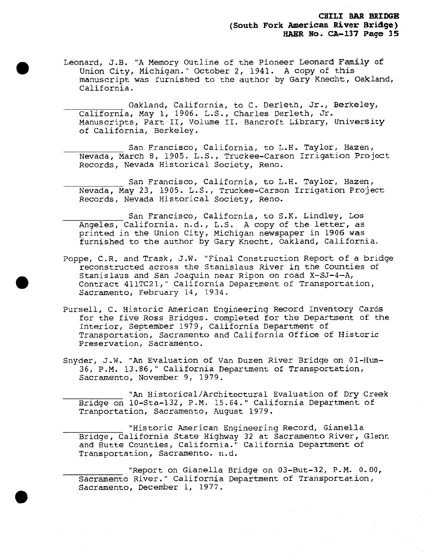Leonard, J.B. "A Memory Outline of the Pioneer Leonard Family of Union City, Michigan." October 2, 1941. A copy of this manuscript was furnished to the author by Gary Knecht, Oakland, California.

Oakland, California, to C. Derleth, Jr., Berkeley, California, May 1, 1906. L.S., Charles Derleth, Jr. Manuscripts, Part II, Volume II. Bancroft Library, University of California, Berkeley.

San Francisco, California, to L.H. Taylor, Hazen, Nevada, March 8, 1905. L.S., Truckee-Carson Irrigation Project Records, Nevada Historical Society, Reno.

San Francisco, California, to L.H. Taylor, Hazen, Nevada, May 23, 1905, L.S., Truckee-Carson Irrigation Project Records, Nevada Historical Society, Reno.

San Francisco, California, to S.K. Lindley, Los Angeles, California, n.d., L.S. A copy of the letter, as printed in the Union City, Michigan newspaper in 1906 was furnished to the author by Gary Knecht, Oakland, California.

Poppe, C.R. and Trask, J.W. "Final Construction Report of a bridge reconstructed across the Stanislaus River in the Counties of Stanislaus and San Joaquin near Ripon on road X-SJ-4—A, Contract 411TC21," California Department of Transportation, Sacramento, February 14, 1934.

Pursell, C. Historic American Engineering Record Inventory Cards for the five Ross Bridges, completed for the Department of the Interior, September 1979, California Department of Transportation, Sacramento and California Office of Historic Preservation, Sacramento.

Snyder, J.W. "An Evaluation of Van Duzen River Bridge on 01-Hum-36, P.M. 13.86," California Department of Transportation, Sacramento, November 9, 1979.

"An Historical/Architectural Evaluation of Dry Creek Bridge on 10-Sta-132, P.M. 15.64." California Department of Tranportation, Sacramento, August 1979.

"Historic American Engineering Record, Gianella Bridge, California State Highway <sup>32</sup> at Sacramento River*,* Glenn and Butte Counties, California." California Department of Transportation, Sacramento, n.d.

"Report on Gianella Bridge on 03-But-32, P.M. 0.00, Sacramento River." California Department of Transportation, Sacramento, December 1, 1977.